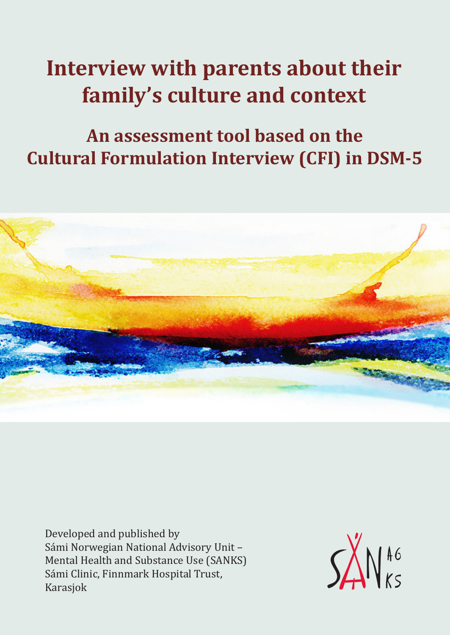# **Interview with parents about their family's culture and context**

# **An assessment tool based on the Cultural Formulation Interview (CFI) in DSM-5**



Developed and published by Sámi Norwegian National Advisory Unit – Mental Health and Substance Use (SANKS) Sámi Clinic, Finnmark Hospital Trust, Karasjok

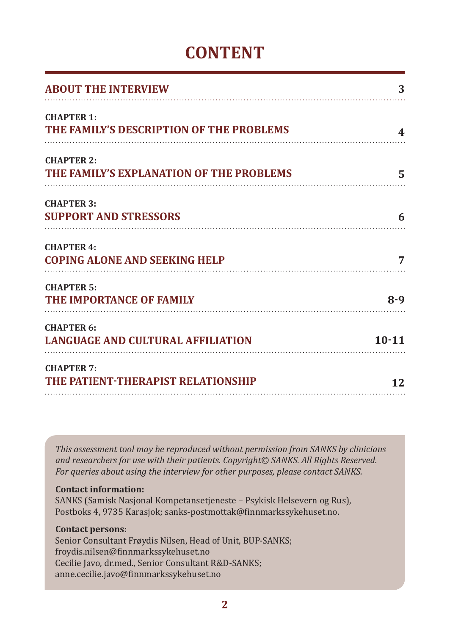### **CONTENT**

| <b>ABOUT THE INTERVIEW</b>                                    | 3         |
|---------------------------------------------------------------|-----------|
| <b>CHAPTER 1:</b><br>THE FAMILY'S DESCRIPTION OF THE PROBLEMS | 4         |
| <b>CHAPTER 2:</b><br>THE FAMILY'S EXPLANATION OF THE PROBLEMS | 5         |
| <b>CHAPTER 3:</b><br><b>SUPPORT AND STRESSORS</b>             | 6         |
| <b>CHAPTER 4:</b><br><b>COPING ALONE AND SEEKING HELP</b>     | 7         |
| <b>CHAPTER 5:</b><br>THE IMPORTANCE OF FAMILY                 | $8 - 9$   |
| <b>CHAPTER 6:</b><br><b>LANGUAGE AND CULTURAL AFFILIATION</b> | $10 - 11$ |
| <b>CHAPTER 7:</b><br>THE PATIENT-THERAPIST RELATIONSHIP       | 12        |

*This assessment tool may be reproduced without permission from SANKS by clinicians and researchers for use with their patients. Copyright© SANKS. All Rights Reserved. For queries about using the interview for other purposes, please contact SANKS.*

#### **Contact information:**

SANKS (Samisk Nasjonal Kompetansetjeneste – Psykisk Helsevern og Rus), Postboks 4, 9735 Karasjok; sanks-postmottak@finnmarkssykehuset.no.

#### **Contact persons:**

Senior Consultant Frøydis Nilsen, Head of Unit, BUP-SANKS; froydis.nilsen@finnmarkssykehuset.no Cecilie Javo, dr.med., Senior Consultant R&D-SANKS; anne.cecilie.javo@finnmarkssykehuset.no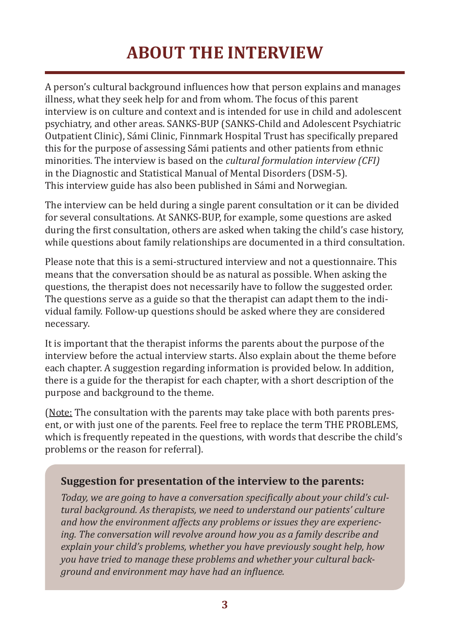## **ABOUT THE INTERVIEW**

A person's cultural background influences how that person explains and manages illness, what they seek help for and from whom. The focus of this parent interview is on culture and context and is intended for use in child and adolescent psychiatry, and other areas. SANKS-BUP (SANKS-Child and Adolescent Psychiatric Outpatient Clinic), Sámi Clinic, Finnmark Hospital Trust has specifically prepared this for the purpose of assessing Sámi patients and other patients from ethnic minorities. The interview is based on the *cultural formulation interview (CFI)* in the Diagnostic and Statistical Manual of Mental Disorders (DSM-5). This interview guide has also been published in Sámi and Norwegian.

The interview can be held during a single parent consultation or it can be divided for several consultations. At SANKS-BUP, for example, some questions are asked during the first consultation, others are asked when taking the child's case history, while questions about family relationships are documented in a third consultation.

Please note that this is a semi-structured interview and not a questionnaire. This means that the conversation should be as natural as possible. When asking the questions, the therapist does not necessarily have to follow the suggested order. The questions serve as a guide so that the therapist can adapt them to the individual family. Follow-up questions should be asked where they are considered necessary.

It is important that the therapist informs the parents about the purpose of the interview before the actual interview starts. Also explain about the theme before each chapter. A suggestion regarding information is provided below. In addition, there is a guide for the therapist for each chapter, with a short description of the purpose and background to the theme.

(Note: The consultation with the parents may take place with both parents present, or with just one of the parents. Feel free to replace the term THE PROBLEMS, which is frequently repeated in the questions, with words that describe the child's problems or the reason for referral).

#### **Suggestion for presentation of the interview to the parents:**

*Today, we are going to have a conversation specifically about your child's cultural background. As therapists, we need to understand our patients' culture and how the environment affects any problems or issues they are experiencing. The conversation will revolve around how you as a family describe and explain your child's problems, whether you have previously sought help, how you have tried to manage these problems and whether your cultural background and environment may have had an influence.*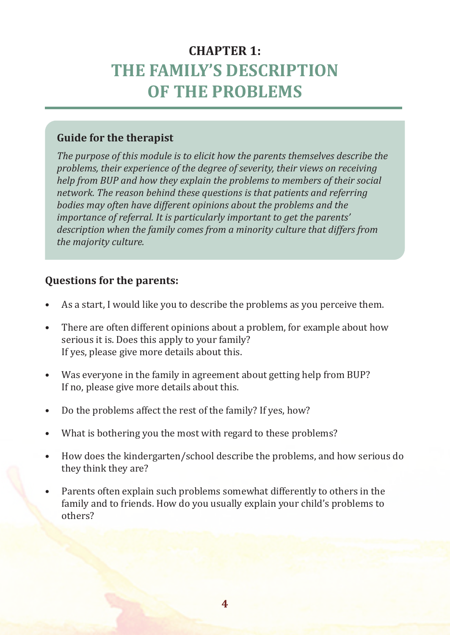### **CHAPTER 1: THE FAMILY'S DESCRIPTION OF THE PROBLEMS**

#### **Guide for the therapist**

*The purpose of this module is to elicit how the parents themselves describe the problems, their experience of the degree of severity, their views on receiving help from BUP and how they explain the problems to members of their social network. The reason behind these questions is that patients and referring bodies may often have different opinions about the problems and the importance of referral. It is particularly important to get the parents' description when the family comes from a minority culture that differs from the majority culture.*

- As a start, I would like you to describe the problems as you perceive them.
- There are often different opinions about a problem, for example about how serious it is. Does this apply to your family? If yes, please give more details about this.
- Was everyone in the family in agreement about getting help from BUP? If no, please give more details about this.
- Do the problems affect the rest of the family? If yes, how?
- What is bothering you the most with regard to these problems?
- How does the kindergarten/school describe the problems, and how serious do they think they are?
- Parents often explain such problems somewhat differently to others in the family and to friends. How do you usually explain your child's problems to others?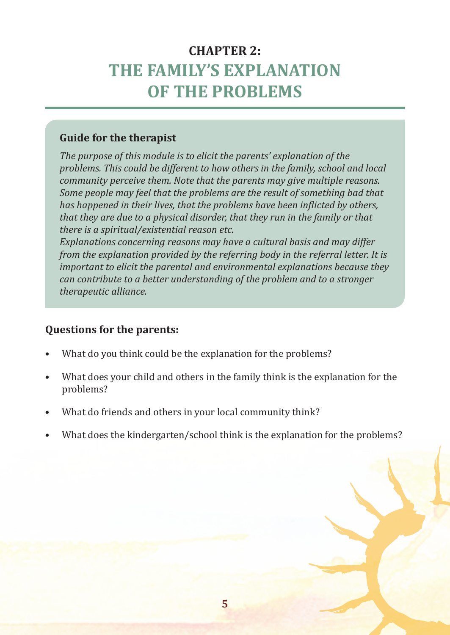### **CHAPTER 2: THE FAMILY'S EXPLANATION OF THE PROBLEMS**

#### **Guide for the therapist**

*The purpose of this module is to elicit the parents' explanation of the problems. This could be different to how others in the family, school and local community perceive them. Note that the parents may give multiple reasons. Some people may feel that the problems are the result of something bad that has happened in their lives, that the problems have been inflicted by others, that they are due to a physical disorder, that they run in the family or that there is a spiritual/existential reason etc.*

*Explanations concerning reasons may have a cultural basis and may differ from the explanation provided by the referring body in the referral letter. It is important to elicit the parental and environmental explanations because they can contribute to a better understanding of the problem and to a stronger therapeutic alliance.*

- What do you think could be the explanation for the problems?
- What does your child and others in the family think is the explanation for the problems?
- What do friends and others in your local community think?
- What does the kindergarten/school think is the explanation for the problems?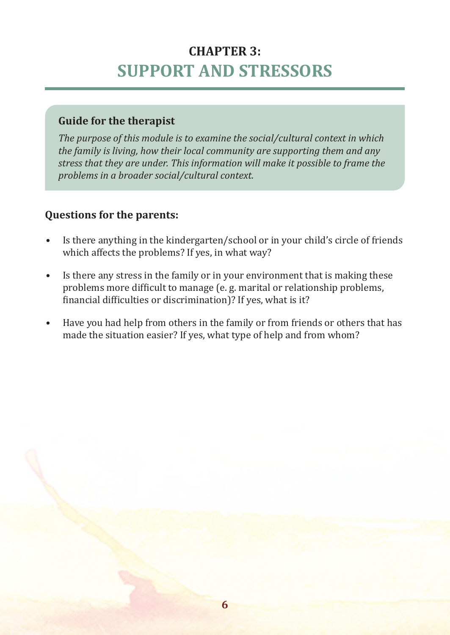### **CHAPTER 3: SUPPORT AND STRESSORS**

#### **Guide for the therapist**

*The purpose of this module is to examine the social/cultural context in which the family is living, how their local community are supporting them and any stress that they are under. This information will make it possible to frame the problems in a broader social/cultural context.*

- Is there anything in the kindergarten/school or in your child's circle of friends which affects the problems? If yes, in what way?
- Is there any stress in the family or in your environment that is making these problems more difficult to manage (e. g. marital or relationship problems, financial difficulties or discrimination)? If yes, what is it?
- Have you had help from others in the family or from friends or others that has made the situation easier? If yes, what type of help and from whom?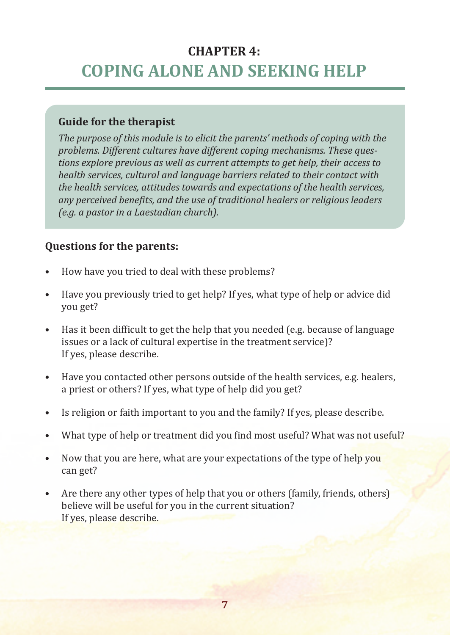### **CHAPTER 4: COPING ALONE AND SEEKING HELP**

#### **Guide for the therapist**

*The purpose of this module is to elicit the parents' methods of coping with the problems. Different cultures have different coping mechanisms. These questions explore previous as well as current attempts to get help, their access to health services, cultural and language barriers related to their contact with the health services, attitudes towards and expectations of the health services, any perceived benefits, and the use of traditional healers or religious leaders (e.g. a pastor in a Laestadian church).*

- How have you tried to deal with these problems?
- Have you previously tried to get help? If yes, what type of help or advice did you get?
- Has it been difficult to get the help that you needed (e.g. because of language issues or a lack of cultural expertise in the treatment service)? If yes, please describe.
- Have you contacted other persons outside of the health services, e.g. healers, a priest or others? If yes, what type of help did you get?
- Is religion or faith important to you and the family? If yes, please describe.
- What type of help or treatment did you find most useful? What was not useful?
- Now that you are here, what are your expectations of the type of help you can get?
- Are there any other types of help that you or others (family, friends, others) believe will be useful for you in the current situation? If yes, please describe.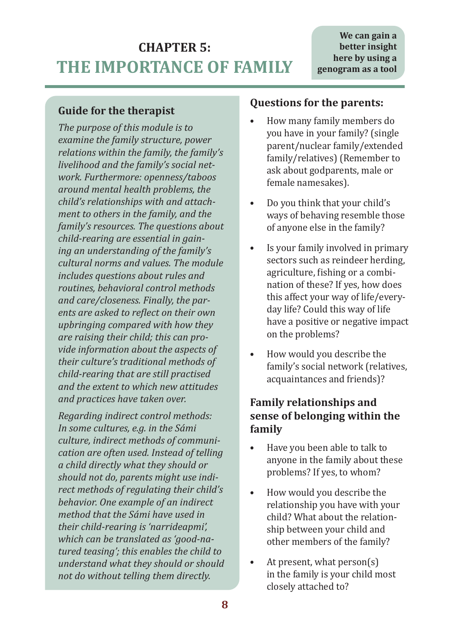### **CHAPTER 5: THE IMPORTANCE OF FAMILY**

#### **Guide for the therapist**

*The purpose of this module is to examine the family structure, power relations within the family, the family's livelihood and the family's social network. Furthermore: openness/taboos around mental health problems, the child's relationships with and attachment to others in the family, and the family's resources. The questions about child-rearing are essential in gaining an understanding of the family's cultural norms and values. The module includes questions about rules and routines, behavioral control methods and care/closeness. Finally, the parents are asked to reflect on their own upbringing compared with how they are raising their child; this can provide information about the aspects of their culture's traditional methods of child-rearing that are still practised and the extent to which new attitudes and practices have taken over.*

*Regarding indirect control methods: In some cultures, e.g. in the Sámi culture, indirect methods of communication are often used. Instead of telling a child directly what they should or should not do, parents might use indirect methods of regulating their child's behavior. One example of an indirect method that the Sámi have used in their child-rearing is 'narrideapmi', which can be translated as 'good-natured teasing'; this enables the child to understand what they should or should not do without telling them directly.*

#### **Questions for the parents:**

- How many family members do you have in your family? (single parent/nuclear family/extended family/relatives) (Remember to ask about godparents, male or female namesakes).
- Do you think that your child's ways of behaving resemble those of anyone else in the family?
- Is your family involved in primary sectors such as reindeer herding, agriculture, fishing or a combination of these? If yes, how does this affect your way of life/everyday life? Could this way of life have a positive or negative impact on the problems?
- How would you describe the family's social network (relatives, acquaintances and friends)?

#### **Family relationships and sense of belonging within the family**

- Have you been able to talk to anyone in the family about these problems? If yes, to whom?
- How would you describe the relationship you have with your child? What about the relationship between your child and other members of the family?
- At present, what  $person(s)$ in the family is your child most closely attached to?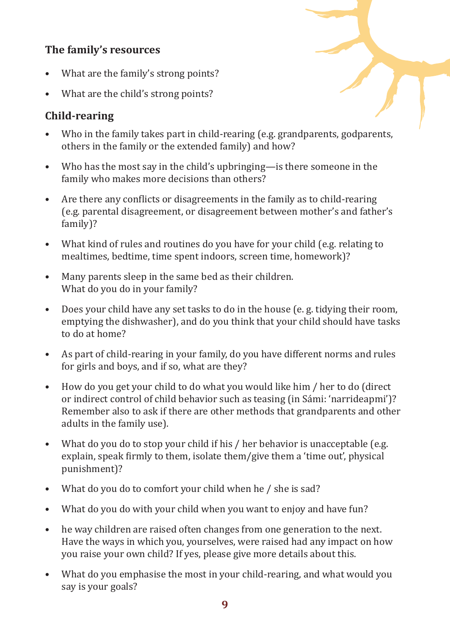### **The family's resources**

- What are the family's strong points?
- What are the child's strong points?

### **Child-rearing**

- Who in the family takes part in child-rearing (e.g. grandparents, godparents, others in the family or the extended family) and how?
- Who has the most say in the child's upbringing—is there someone in the family who makes more decisions than others?
- Are there any conflicts or disagreements in the family as to child-rearing (e.g. parental disagreement, or disagreement between mother's and father's family)?
- What kind of rules and routines do you have for your child (e.g. relating to mealtimes, bedtime, time spent indoors, screen time, homework)?
- Many parents sleep in the same bed as their children. What do you do in your family?
- Does your child have any set tasks to do in the house (e. g. tidying their room, emptying the dishwasher), and do you think that your child should have tasks to do at home?
- As part of child-rearing in your family, do you have different norms and rules for girls and boys, and if so, what are they?
- How do you get your child to do what you would like him / her to do (direct or indirect control of child behavior such as teasing (in Sámi: 'narrideapmi')? Remember also to ask if there are other methods that grandparents and other adults in the family use).
- What do you do to stop your child if his / her behavior is unacceptable (e.g. explain, speak firmly to them, isolate them/give them a 'time out', physical punishment)?
- What do you do to comfort your child when he / she is sad?
- What do you do with your child when you want to enjoy and have fun?
- he way children are raised often changes from one generation to the next. Have the ways in which you, yourselves, were raised had any impact on how you raise your own child? If yes, please give more details about this.
- What do you emphasise the most in your child-rearing, and what would you say is your goals?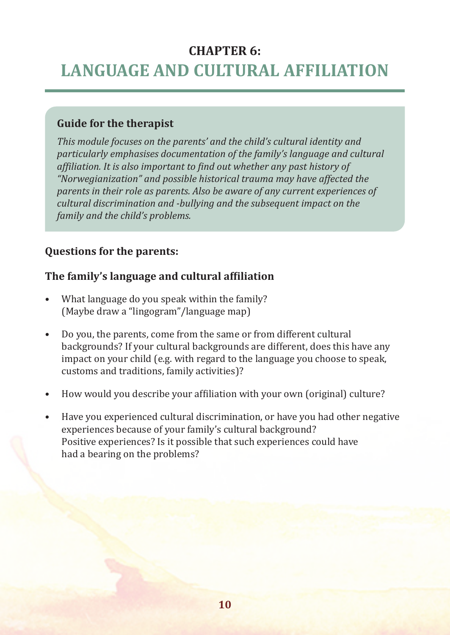### **CHAPTER 6: LANGUAGE AND CULTURAL AFFILIATION**

#### **Guide for the therapist**

*This module focuses on the parents' and the child's cultural identity and particularly emphasises documentation of the family's language and cultural affiliation. It is also important to find out whether any past history of "Norwegianization" and possible historical trauma may have affected the parents in their role as parents. Also be aware of any current experiences of cultural discrimination and -bullying and the subsequent impact on the family and the child's problems.*

#### **Questions for the parents:**

#### **The family's language and cultural affiliation**

- What language do you speak within the family? (Maybe draw a "lingogram"/language map)
- Do you, the parents, come from the same or from different cultural backgrounds? If your cultural backgrounds are different, does this have any impact on your child (e.g. with regard to the language you choose to speak, customs and traditions, family activities)?
- How would you describe your affiliation with your own (original) culture?
- Have you experienced cultural discrimination, or have you had other negative experiences because of your family's cultural background? Positive experiences? Is it possible that such experiences could have had a bearing on the problems?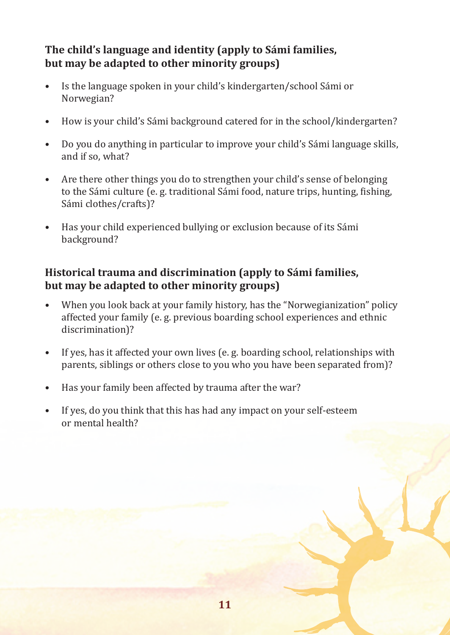#### **The child's language and identity (apply to Sámi families, but may be adapted to other minority groups)**

- Is the language spoken in your child's kindergarten/school Sámi or Norwegian?
- How is your child's Sámi background catered for in the school/kindergarten?
- Do you do anything in particular to improve your child's Sámi language skills, and if so, what?
- Are there other things you do to strengthen your child's sense of belonging to the Sámi culture (e. g. traditional Sámi food, nature trips, hunting, fishing, Sámi clothes/crafts)?
- Has your child experienced bullying or exclusion because of its Sámi background?

#### **Historical trauma and discrimination (apply to Sámi families, but may be adapted to other minority groups)**

- When you look back at your family history, has the "Norwegianization" policy affected your family (e. g. previous boarding school experiences and ethnic discrimination)?
- If yes, has it affected your own lives (e. g. boarding school, relationships with parents, siblings or others close to you who you have been separated from)?
- Has your family been affected by trauma after the war?
- If yes, do you think that this has had any impact on your self-esteem or mental health?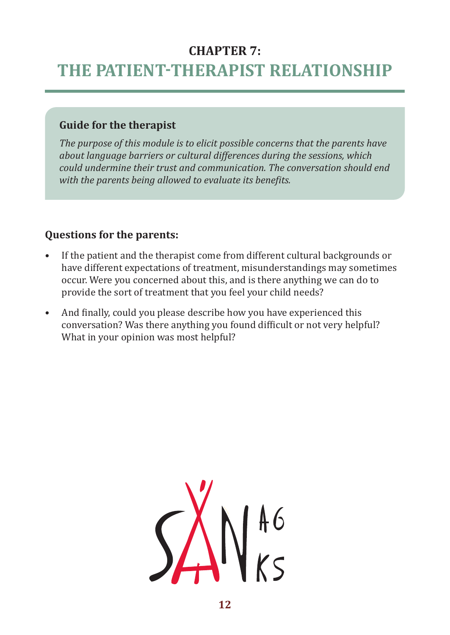### **CHAPTER 7: THE PATIENT-THERAPIST RELATIONSHIP**

#### **Guide for the therapist**

*The purpose of this module is to elicit possible concerns that the parents have about language barriers or cultural differences during the sessions, which could undermine their trust and communication. The conversation should end with the parents being allowed to evaluate its benefits.*

- If the patient and the therapist come from different cultural backgrounds or have different expectations of treatment, misunderstandings may sometimes occur. Were you concerned about this, and is there anything we can do to provide the sort of treatment that you feel your child needs?
- And finally, could you please describe how you have experienced this conversation? Was there anything you found difficult or not very helpful? What in your opinion was most helpful?